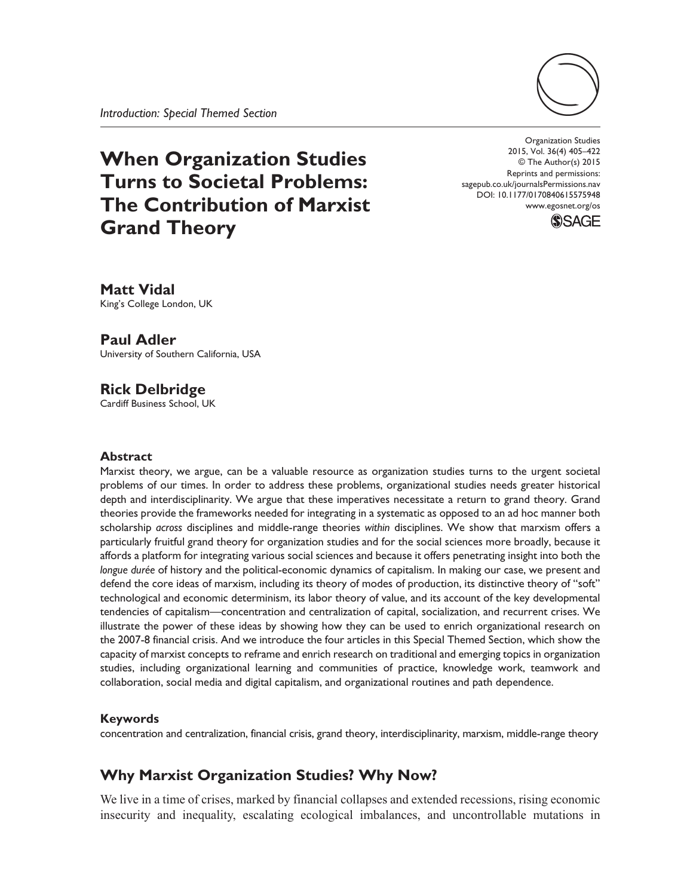

# **When Organization Studies Turns to Societal Problems: The Contribution of Marxist Grand Theory**

Organization Studies 2015, Vol. 36(4) 405–422 © The Author(s) 2015 Reprints and permissions: sagepub.co.uk/journalsPermissions.nav DOI: 10.1177/0170840615575948 www.egosnet.org/os



**Matt Vidal** King's College London, UK

**Paul Adler**

University of Southern California, USA

## **Rick Delbridge**

Cardiff Business School, UK

#### **Abstract**

Marxist theory, we argue, can be a valuable resource as organization studies turns to the urgent societal problems of our times. In order to address these problems, organizational studies needs greater historical depth and interdisciplinarity. We argue that these imperatives necessitate a return to grand theory. Grand theories provide the frameworks needed for integrating in a systematic as opposed to an ad hoc manner both scholarship *across* disciplines and middle-range theories *within* disciplines. We show that marxism offers a particularly fruitful grand theory for organization studies and for the social sciences more broadly, because it affords a platform for integrating various social sciences and because it offers penetrating insight into both the *longue durée* of history and the political-economic dynamics of capitalism. In making our case, we present and defend the core ideas of marxism, including its theory of modes of production, its distinctive theory of "soft" technological and economic determinism, its labor theory of value, and its account of the key developmental tendencies of capitalism—concentration and centralization of capital, socialization, and recurrent crises. We illustrate the power of these ideas by showing how they can be used to enrich organizational research on the 2007-8 financial crisis. And we introduce the four articles in this Special Themed Section, which show the capacity of marxist concepts to reframe and enrich research on traditional and emerging topics in organization studies, including organizational learning and communities of practice, knowledge work, teamwork and collaboration, social media and digital capitalism, and organizational routines and path dependence.

#### **Keywords**

concentration and centralization, financial crisis, grand theory, interdisciplinarity, marxism, middle-range theory

# **Why Marxist Organization Studies? Why Now?**

We live in a time of crises, marked by financial collapses and extended recessions, rising economic insecurity and inequality, escalating ecological imbalances, and uncontrollable mutations in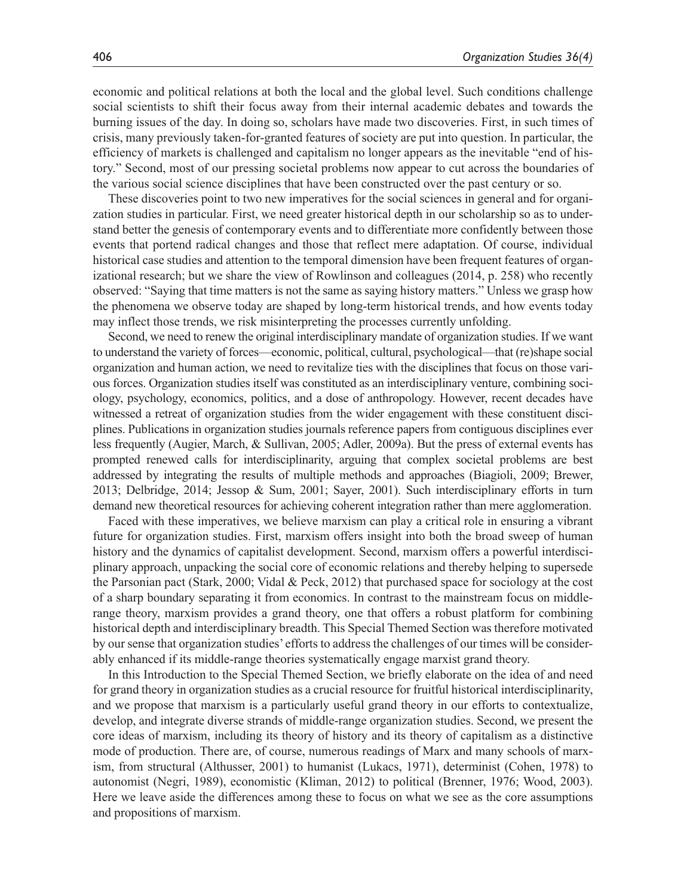economic and political relations at both the local and the global level. Such conditions challenge social scientists to shift their focus away from their internal academic debates and towards the burning issues of the day. In doing so, scholars have made two discoveries. First, in such times of crisis, many previously taken-for-granted features of society are put into question. In particular, the efficiency of markets is challenged and capitalism no longer appears as the inevitable "end of history." Second, most of our pressing societal problems now appear to cut across the boundaries of the various social science disciplines that have been constructed over the past century or so.

These discoveries point to two new imperatives for the social sciences in general and for organization studies in particular. First, we need greater historical depth in our scholarship so as to understand better the genesis of contemporary events and to differentiate more confidently between those events that portend radical changes and those that reflect mere adaptation. Of course, individual historical case studies and attention to the temporal dimension have been frequent features of organizational research; but we share the view of Rowlinson and colleagues (2014, p. 258) who recently observed: "Saying that time matters is not the same as saying history matters." Unless we grasp how the phenomena we observe today are shaped by long-term historical trends, and how events today may inflect those trends, we risk misinterpreting the processes currently unfolding.

Second, we need to renew the original interdisciplinary mandate of organization studies. If we want to understand the variety of forces—economic, political, cultural, psychological—that (re)shape social organization and human action, we need to revitalize ties with the disciplines that focus on those various forces. Organization studies itself was constituted as an interdisciplinary venture, combining sociology, psychology, economics, politics, and a dose of anthropology. However, recent decades have witnessed a retreat of organization studies from the wider engagement with these constituent disciplines. Publications in organization studies journals reference papers from contiguous disciplines ever less frequently (Augier, March, & Sullivan, 2005; Adler, 2009a). But the press of external events has prompted renewed calls for interdisciplinarity, arguing that complex societal problems are best addressed by integrating the results of multiple methods and approaches (Biagioli, 2009; Brewer, 2013; Delbridge, 2014; Jessop & Sum, 2001; Sayer, 2001). Such interdisciplinary efforts in turn demand new theoretical resources for achieving coherent integration rather than mere agglomeration.

Faced with these imperatives, we believe marxism can play a critical role in ensuring a vibrant future for organization studies. First, marxism offers insight into both the broad sweep of human history and the dynamics of capitalist development. Second, marxism offers a powerful interdisciplinary approach, unpacking the social core of economic relations and thereby helping to supersede the Parsonian pact (Stark, 2000; Vidal & Peck, 2012) that purchased space for sociology at the cost of a sharp boundary separating it from economics. In contrast to the mainstream focus on middlerange theory, marxism provides a grand theory, one that offers a robust platform for combining historical depth and interdisciplinary breadth. This Special Themed Section was therefore motivated by our sense that organization studies' efforts to address the challenges of our times will be considerably enhanced if its middle-range theories systematically engage marxist grand theory.

In this Introduction to the Special Themed Section, we briefly elaborate on the idea of and need for grand theory in organization studies as a crucial resource for fruitful historical interdisciplinarity, and we propose that marxism is a particularly useful grand theory in our efforts to contextualize, develop, and integrate diverse strands of middle-range organization studies. Second, we present the core ideas of marxism, including its theory of history and its theory of capitalism as a distinctive mode of production. There are, of course, numerous readings of Marx and many schools of marxism, from structural (Althusser, 2001) to humanist (Lukacs, 1971), determinist (Cohen, 1978) to autonomist (Negri, 1989), economistic (Kliman, 2012) to political (Brenner, 1976; Wood, 2003). Here we leave aside the differences among these to focus on what we see as the core assumptions and propositions of marxism.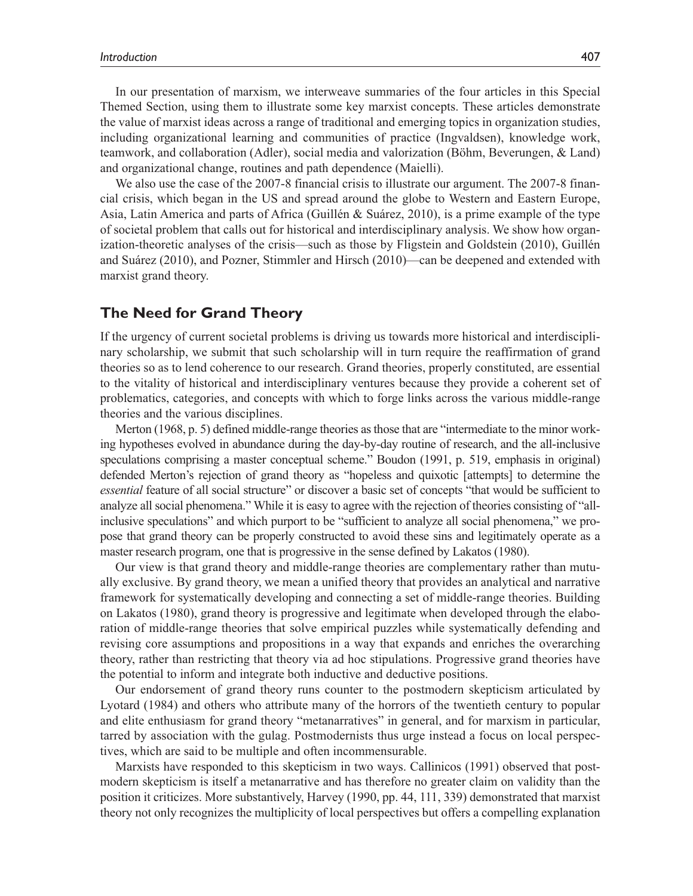In our presentation of marxism, we interweave summaries of the four articles in this Special Themed Section, using them to illustrate some key marxist concepts. These articles demonstrate the value of marxist ideas across a range of traditional and emerging topics in organization studies, including organizational learning and communities of practice (Ingvaldsen), knowledge work, teamwork, and collaboration (Adler), social media and valorization (Böhm, Beverungen, & Land) and organizational change, routines and path dependence (Maielli).

We also use the case of the 2007-8 financial crisis to illustrate our argument. The 2007-8 financial crisis, which began in the US and spread around the globe to Western and Eastern Europe, Asia, Latin America and parts of Africa (Guillén & Suárez, 2010), is a prime example of the type of societal problem that calls out for historical and interdisciplinary analysis. We show how organization-theoretic analyses of the crisis—such as those by Fligstein and Goldstein (2010), Guillén and Suárez (2010), and Pozner, Stimmler and Hirsch (2010)—can be deepened and extended with marxist grand theory.

## **The Need for Grand Theory**

If the urgency of current societal problems is driving us towards more historical and interdisciplinary scholarship, we submit that such scholarship will in turn require the reaffirmation of grand theories so as to lend coherence to our research. Grand theories, properly constituted, are essential to the vitality of historical and interdisciplinary ventures because they provide a coherent set of problematics, categories, and concepts with which to forge links across the various middle-range theories and the various disciplines.

Merton (1968, p. 5) defined middle-range theories as those that are "intermediate to the minor working hypotheses evolved in abundance during the day-by-day routine of research, and the all-inclusive speculations comprising a master conceptual scheme." Boudon (1991, p. 519, emphasis in original) defended Merton's rejection of grand theory as "hopeless and quixotic [attempts] to determine the *essential* feature of all social structure" or discover a basic set of concepts "that would be sufficient to analyze all social phenomena." While it is easy to agree with the rejection of theories consisting of "allinclusive speculations" and which purport to be "sufficient to analyze all social phenomena," we propose that grand theory can be properly constructed to avoid these sins and legitimately operate as a master research program, one that is progressive in the sense defined by Lakatos (1980).

Our view is that grand theory and middle-range theories are complementary rather than mutually exclusive. By grand theory, we mean a unified theory that provides an analytical and narrative framework for systematically developing and connecting a set of middle-range theories. Building on Lakatos (1980), grand theory is progressive and legitimate when developed through the elaboration of middle-range theories that solve empirical puzzles while systematically defending and revising core assumptions and propositions in a way that expands and enriches the overarching theory, rather than restricting that theory via ad hoc stipulations. Progressive grand theories have the potential to inform and integrate both inductive and deductive positions.

Our endorsement of grand theory runs counter to the postmodern skepticism articulated by Lyotard (1984) and others who attribute many of the horrors of the twentieth century to popular and elite enthusiasm for grand theory "metanarratives" in general, and for marxism in particular, tarred by association with the gulag. Postmodernists thus urge instead a focus on local perspectives, which are said to be multiple and often incommensurable.

Marxists have responded to this skepticism in two ways. Callinicos (1991) observed that postmodern skepticism is itself a metanarrative and has therefore no greater claim on validity than the position it criticizes. More substantively, Harvey (1990, pp. 44, 111, 339) demonstrated that marxist theory not only recognizes the multiplicity of local perspectives but offers a compelling explanation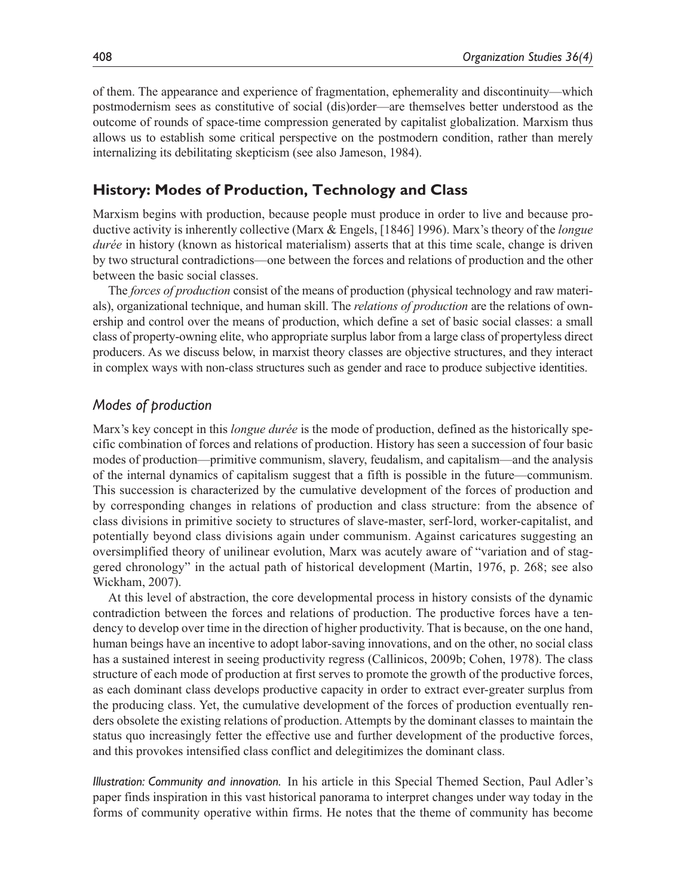of them. The appearance and experience of fragmentation, ephemerality and discontinuity—which postmodernism sees as constitutive of social (dis)order—are themselves better understood as the outcome of rounds of space-time compression generated by capitalist globalization. Marxism thus allows us to establish some critical perspective on the postmodern condition, rather than merely internalizing its debilitating skepticism (see also Jameson, 1984).

## **History: Modes of Production, Technology and Class**

Marxism begins with production, because people must produce in order to live and because productive activity is inherently collective (Marx & Engels, [1846] 1996). Marx's theory of the *longue durée* in history (known as historical materialism) asserts that at this time scale, change is driven by two structural contradictions—one between the forces and relations of production and the other between the basic social classes.

The *forces of production* consist of the means of production (physical technology and raw materials), organizational technique, and human skill. The *relations of production* are the relations of ownership and control over the means of production, which define a set of basic social classes: a small class of property-owning elite, who appropriate surplus labor from a large class of propertyless direct producers. As we discuss below, in marxist theory classes are objective structures, and they interact in complex ways with non-class structures such as gender and race to produce subjective identities.

#### *Modes of production*

Marx's key concept in this *longue durée* is the mode of production, defined as the historically specific combination of forces and relations of production. History has seen a succession of four basic modes of production—primitive communism, slavery, feudalism, and capitalism—and the analysis of the internal dynamics of capitalism suggest that a fifth is possible in the future—communism. This succession is characterized by the cumulative development of the forces of production and by corresponding changes in relations of production and class structure: from the absence of class divisions in primitive society to structures of slave-master, serf-lord, worker-capitalist, and potentially beyond class divisions again under communism. Against caricatures suggesting an oversimplified theory of unilinear evolution, Marx was acutely aware of "variation and of staggered chronology" in the actual path of historical development (Martin, 1976, p. 268; see also Wickham, 2007).

At this level of abstraction, the core developmental process in history consists of the dynamic contradiction between the forces and relations of production. The productive forces have a tendency to develop over time in the direction of higher productivity. That is because, on the one hand, human beings have an incentive to adopt labor-saving innovations, and on the other, no social class has a sustained interest in seeing productivity regress (Callinicos, 2009b; Cohen, 1978). The class structure of each mode of production at first serves to promote the growth of the productive forces, as each dominant class develops productive capacity in order to extract ever-greater surplus from the producing class. Yet, the cumulative development of the forces of production eventually renders obsolete the existing relations of production. Attempts by the dominant classes to maintain the status quo increasingly fetter the effective use and further development of the productive forces, and this provokes intensified class conflict and delegitimizes the dominant class.

*Illustration: Community and innovation.* In his article in this Special Themed Section, Paul Adler's paper finds inspiration in this vast historical panorama to interpret changes under way today in the forms of community operative within firms. He notes that the theme of community has become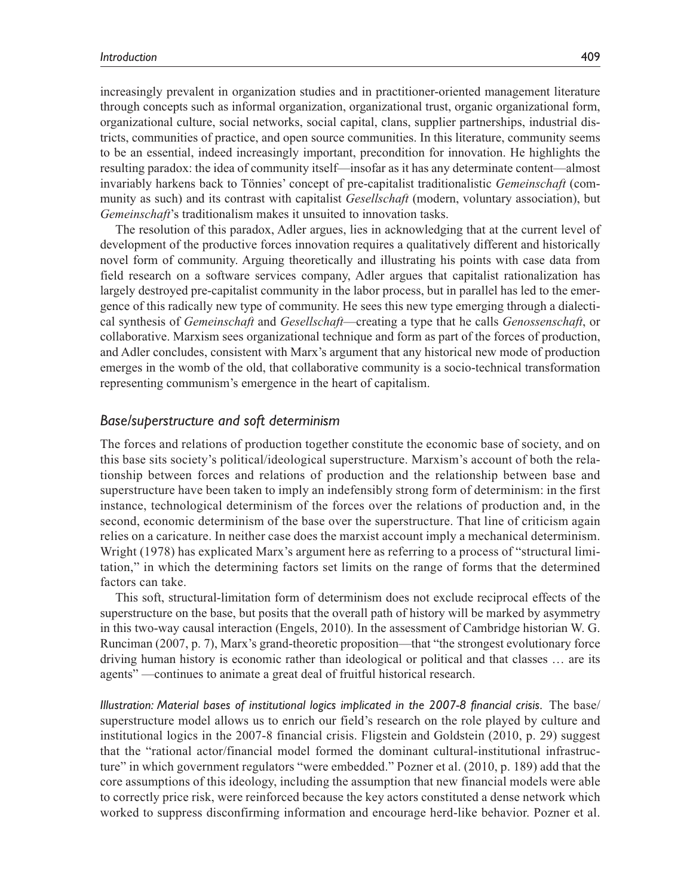increasingly prevalent in organization studies and in practitioner-oriented management literature through concepts such as informal organization, organizational trust, organic organizational form, organizational culture, social networks, social capital, clans, supplier partnerships, industrial districts, communities of practice, and open source communities. In this literature, community seems to be an essential, indeed increasingly important, precondition for innovation. He highlights the resulting paradox: the idea of community itself—insofar as it has any determinate content—almost invariably harkens back to Tönnies' concept of pre-capitalist traditionalistic *Gemeinschaft* (community as such) and its contrast with capitalist *Gesellschaft* (modern, voluntary association), but *Gemeinschaft*'s traditionalism makes it unsuited to innovation tasks.

The resolution of this paradox, Adler argues, lies in acknowledging that at the current level of development of the productive forces innovation requires a qualitatively different and historically novel form of community. Arguing theoretically and illustrating his points with case data from field research on a software services company, Adler argues that capitalist rationalization has largely destroyed pre-capitalist community in the labor process, but in parallel has led to the emergence of this radically new type of community. He sees this new type emerging through a dialectical synthesis of *Gemeinschaft* and *Gesellschaft*—creating a type that he calls *Genossenschaft*, or collaborative. Marxism sees organizational technique and form as part of the forces of production, and Adler concludes, consistent with Marx's argument that any historical new mode of production emerges in the womb of the old, that collaborative community is a socio-technical transformation representing communism's emergence in the heart of capitalism.

#### *Base/superstructure and soft determinism*

The forces and relations of production together constitute the economic base of society, and on this base sits society's political/ideological superstructure. Marxism's account of both the relationship between forces and relations of production and the relationship between base and superstructure have been taken to imply an indefensibly strong form of determinism: in the first instance, technological determinism of the forces over the relations of production and, in the second, economic determinism of the base over the superstructure. That line of criticism again relies on a caricature. In neither case does the marxist account imply a mechanical determinism. Wright (1978) has explicated Marx's argument here as referring to a process of "structural limitation," in which the determining factors set limits on the range of forms that the determined factors can take.

This soft, structural-limitation form of determinism does not exclude reciprocal effects of the superstructure on the base, but posits that the overall path of history will be marked by asymmetry in this two-way causal interaction (Engels, 2010). In the assessment of Cambridge historian W. G. Runciman (2007, p. 7), Marx's grand-theoretic proposition—that "the strongest evolutionary force driving human history is economic rather than ideological or political and that classes … are its agents" —continues to animate a great deal of fruitful historical research.

*Illustration: Material bases of institutional logics implicated in the 2007-8 financial crisis.* The base/ superstructure model allows us to enrich our field's research on the role played by culture and institutional logics in the 2007-8 financial crisis. Fligstein and Goldstein (2010, p. 29) suggest that the "rational actor/financial model formed the dominant cultural-institutional infrastructure" in which government regulators "were embedded." Pozner et al. (2010, p. 189) add that the core assumptions of this ideology, including the assumption that new financial models were able to correctly price risk, were reinforced because the key actors constituted a dense network which worked to suppress disconfirming information and encourage herd-like behavior. Pozner et al.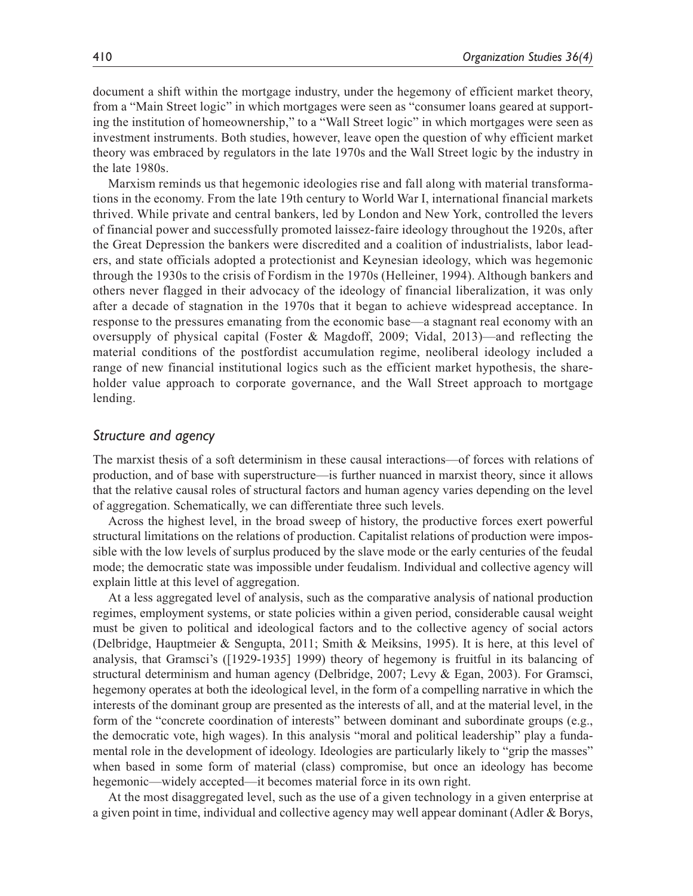document a shift within the mortgage industry, under the hegemony of efficient market theory, from a "Main Street logic" in which mortgages were seen as "consumer loans geared at supporting the institution of homeownership," to a "Wall Street logic" in which mortgages were seen as investment instruments. Both studies, however, leave open the question of why efficient market theory was embraced by regulators in the late 1970s and the Wall Street logic by the industry in the late 1980s.

Marxism reminds us that hegemonic ideologies rise and fall along with material transformations in the economy. From the late 19th century to World War I, international financial markets thrived. While private and central bankers, led by London and New York, controlled the levers of financial power and successfully promoted laissez-faire ideology throughout the 1920s, after the Great Depression the bankers were discredited and a coalition of industrialists, labor leaders, and state officials adopted a protectionist and Keynesian ideology, which was hegemonic through the 1930s to the crisis of Fordism in the 1970s (Helleiner, 1994). Although bankers and others never flagged in their advocacy of the ideology of financial liberalization, it was only after a decade of stagnation in the 1970s that it began to achieve widespread acceptance. In response to the pressures emanating from the economic base—a stagnant real economy with an oversupply of physical capital (Foster & Magdoff, 2009; Vidal, 2013)—and reflecting the material conditions of the postfordist accumulation regime, neoliberal ideology included a range of new financial institutional logics such as the efficient market hypothesis, the shareholder value approach to corporate governance, and the Wall Street approach to mortgage lending.

## *Structure and agency*

The marxist thesis of a soft determinism in these causal interactions—of forces with relations of production, and of base with superstructure—is further nuanced in marxist theory, since it allows that the relative causal roles of structural factors and human agency varies depending on the level of aggregation. Schematically, we can differentiate three such levels.

Across the highest level, in the broad sweep of history, the productive forces exert powerful structural limitations on the relations of production. Capitalist relations of production were impossible with the low levels of surplus produced by the slave mode or the early centuries of the feudal mode; the democratic state was impossible under feudalism. Individual and collective agency will explain little at this level of aggregation.

At a less aggregated level of analysis, such as the comparative analysis of national production regimes, employment systems, or state policies within a given period, considerable causal weight must be given to political and ideological factors and to the collective agency of social actors (Delbridge, Hauptmeier & Sengupta, 2011; Smith & Meiksins, 1995). It is here, at this level of analysis, that Gramsci's ([1929-1935] 1999) theory of hegemony is fruitful in its balancing of structural determinism and human agency (Delbridge, 2007; Levy & Egan, 2003). For Gramsci, hegemony operates at both the ideological level, in the form of a compelling narrative in which the interests of the dominant group are presented as the interests of all, and at the material level, in the form of the "concrete coordination of interests" between dominant and subordinate groups (e.g., the democratic vote, high wages). In this analysis "moral and political leadership" play a fundamental role in the development of ideology. Ideologies are particularly likely to "grip the masses" when based in some form of material (class) compromise, but once an ideology has become hegemonic—widely accepted—it becomes material force in its own right.

At the most disaggregated level, such as the use of a given technology in a given enterprise at a given point in time, individual and collective agency may well appear dominant (Adler & Borys,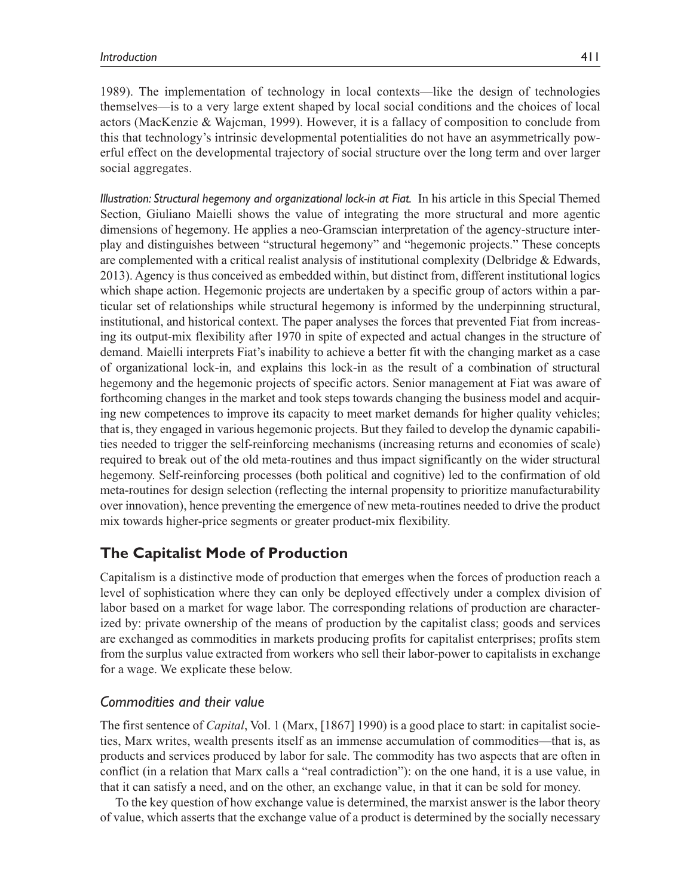1989). The implementation of technology in local contexts—like the design of technologies themselves—is to a very large extent shaped by local social conditions and the choices of local actors (MacKenzie & Wajcman, 1999). However, it is a fallacy of composition to conclude from this that technology's intrinsic developmental potentialities do not have an asymmetrically powerful effect on the developmental trajectory of social structure over the long term and over larger social aggregates.

*Illustration: Structural hegemony and organizational lock-in at Fiat.* In his article in this Special Themed Section, Giuliano Maielli shows the value of integrating the more structural and more agentic dimensions of hegemony. He applies a neo-Gramscian interpretation of the agency-structure interplay and distinguishes between "structural hegemony" and "hegemonic projects." These concepts are complemented with a critical realist analysis of institutional complexity (Delbridge & Edwards, 2013). Agency is thus conceived as embedded within, but distinct from, different institutional logics which shape action. Hegemonic projects are undertaken by a specific group of actors within a particular set of relationships while structural hegemony is informed by the underpinning structural, institutional, and historical context. The paper analyses the forces that prevented Fiat from increasing its output-mix flexibility after 1970 in spite of expected and actual changes in the structure of demand. Maielli interprets Fiat's inability to achieve a better fit with the changing market as a case of organizational lock-in, and explains this lock-in as the result of a combination of structural hegemony and the hegemonic projects of specific actors. Senior management at Fiat was aware of forthcoming changes in the market and took steps towards changing the business model and acquiring new competences to improve its capacity to meet market demands for higher quality vehicles; that is, they engaged in various hegemonic projects. But they failed to develop the dynamic capabilities needed to trigger the self-reinforcing mechanisms (increasing returns and economies of scale) required to break out of the old meta-routines and thus impact significantly on the wider structural hegemony. Self-reinforcing processes (both political and cognitive) led to the confirmation of old meta-routines for design selection (reflecting the internal propensity to prioritize manufacturability over innovation), hence preventing the emergence of new meta-routines needed to drive the product mix towards higher-price segments or greater product-mix flexibility.

# **The Capitalist Mode of Production**

Capitalism is a distinctive mode of production that emerges when the forces of production reach a level of sophistication where they can only be deployed effectively under a complex division of labor based on a market for wage labor. The corresponding relations of production are characterized by: private ownership of the means of production by the capitalist class; goods and services are exchanged as commodities in markets producing profits for capitalist enterprises; profits stem from the surplus value extracted from workers who sell their labor-power to capitalists in exchange for a wage. We explicate these below.

## *Commodities and their value*

The first sentence of *Capital*, Vol. 1 (Marx, [1867] 1990) is a good place to start: in capitalist societies, Marx writes, wealth presents itself as an immense accumulation of commodities—that is, as products and services produced by labor for sale. The commodity has two aspects that are often in conflict (in a relation that Marx calls a "real contradiction"): on the one hand, it is a use value, in that it can satisfy a need, and on the other, an exchange value, in that it can be sold for money.

To the key question of how exchange value is determined, the marxist answer is the labor theory of value, which asserts that the exchange value of a product is determined by the socially necessary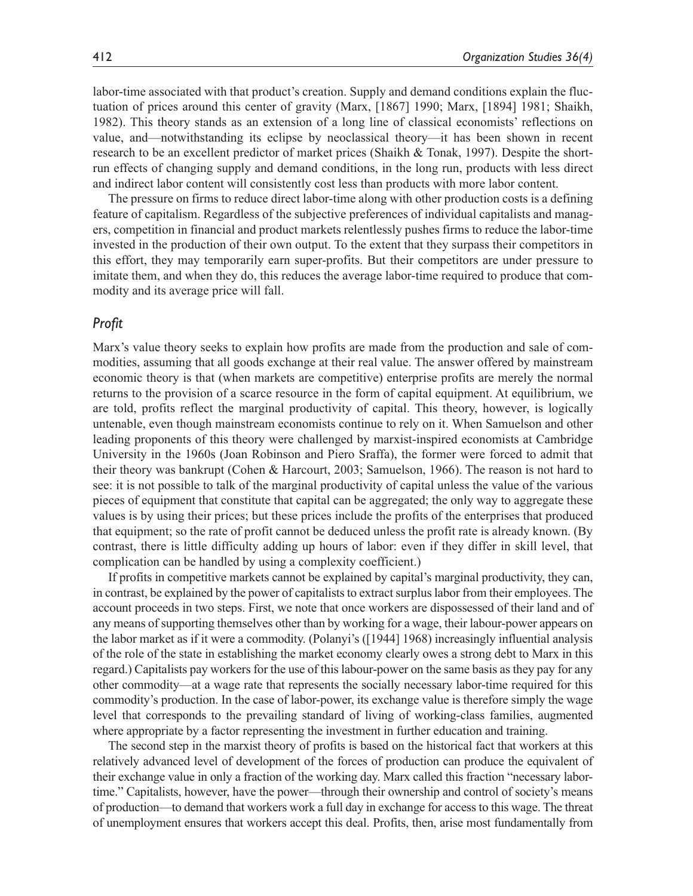labor-time associated with that product's creation. Supply and demand conditions explain the fluctuation of prices around this center of gravity (Marx, [1867] 1990; Marx, [1894] 1981; Shaikh, 1982). This theory stands as an extension of a long line of classical economists' reflections on value, and—notwithstanding its eclipse by neoclassical theory—it has been shown in recent research to be an excellent predictor of market prices (Shaikh & Tonak, 1997). Despite the shortrun effects of changing supply and demand conditions, in the long run, products with less direct and indirect labor content will consistently cost less than products with more labor content.

The pressure on firms to reduce direct labor-time along with other production costs is a defining feature of capitalism. Regardless of the subjective preferences of individual capitalists and managers, competition in financial and product markets relentlessly pushes firms to reduce the labor-time invested in the production of their own output. To the extent that they surpass their competitors in this effort, they may temporarily earn super-profits. But their competitors are under pressure to imitate them, and when they do, this reduces the average labor-time required to produce that commodity and its average price will fall.

#### *Profit*

Marx's value theory seeks to explain how profits are made from the production and sale of commodities, assuming that all goods exchange at their real value. The answer offered by mainstream economic theory is that (when markets are competitive) enterprise profits are merely the normal returns to the provision of a scarce resource in the form of capital equipment. At equilibrium, we are told, profits reflect the marginal productivity of capital. This theory, however, is logically untenable, even though mainstream economists continue to rely on it. When Samuelson and other leading proponents of this theory were challenged by marxist-inspired economists at Cambridge University in the 1960s (Joan Robinson and Piero Sraffa), the former were forced to admit that their theory was bankrupt (Cohen & Harcourt, 2003; Samuelson, 1966). The reason is not hard to see: it is not possible to talk of the marginal productivity of capital unless the value of the various pieces of equipment that constitute that capital can be aggregated; the only way to aggregate these values is by using their prices; but these prices include the profits of the enterprises that produced that equipment; so the rate of profit cannot be deduced unless the profit rate is already known. (By contrast, there is little difficulty adding up hours of labor: even if they differ in skill level, that complication can be handled by using a complexity coefficient.)

If profits in competitive markets cannot be explained by capital's marginal productivity, they can, in contrast, be explained by the power of capitalists to extract surplus labor from their employees. The account proceeds in two steps. First, we note that once workers are dispossessed of their land and of any means of supporting themselves other than by working for a wage, their labour-power appears on the labor market as if it were a commodity. (Polanyi's ([1944] 1968) increasingly influential analysis of the role of the state in establishing the market economy clearly owes a strong debt to Marx in this regard.) Capitalists pay workers for the use of this labour-power on the same basis as they pay for any other commodity—at a wage rate that represents the socially necessary labor-time required for this commodity's production. In the case of labor-power, its exchange value is therefore simply the wage level that corresponds to the prevailing standard of living of working-class families, augmented where appropriate by a factor representing the investment in further education and training.

The second step in the marxist theory of profits is based on the historical fact that workers at this relatively advanced level of development of the forces of production can produce the equivalent of their exchange value in only a fraction of the working day. Marx called this fraction "necessary labortime." Capitalists, however, have the power—through their ownership and control of society's means of production—to demand that workers work a full day in exchange for access to this wage. The threat of unemployment ensures that workers accept this deal. Profits, then, arise most fundamentally from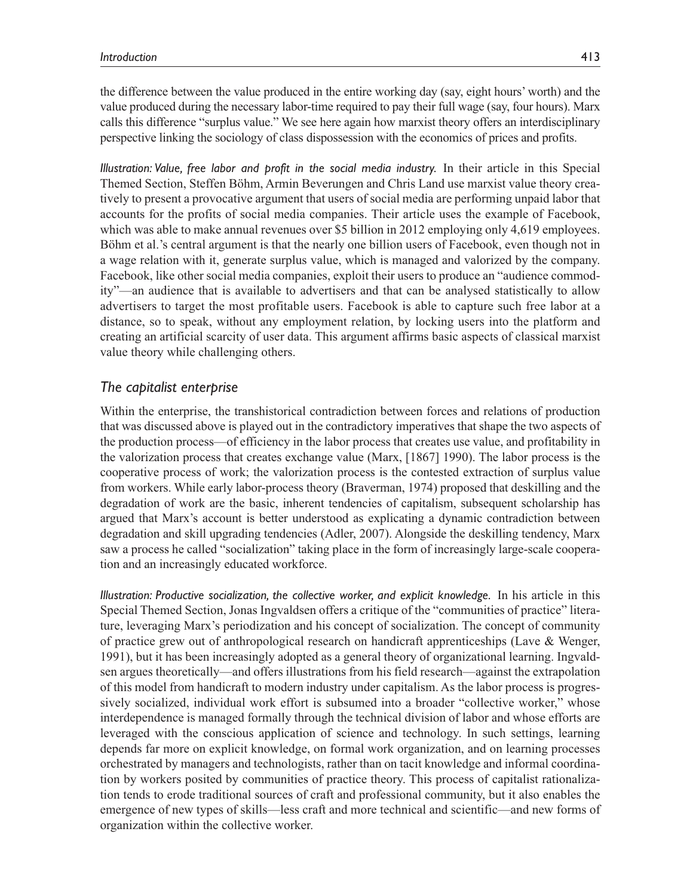*Illustration: Value, free labor and profit in the social media industry.* In their article in this Special Themed Section, Steffen Böhm, Armin Beverungen and Chris Land use marxist value theory creatively to present a provocative argument that users of social media are performing unpaid labor that accounts for the profits of social media companies. Their article uses the example of Facebook, which was able to make annual revenues over \$5 billion in 2012 employing only 4,619 employees. Böhm et al.'s central argument is that the nearly one billion users of Facebook, even though not in a wage relation with it, generate surplus value, which is managed and valorized by the company. Facebook, like other social media companies, exploit their users to produce an "audience commodity"—an audience that is available to advertisers and that can be analysed statistically to allow advertisers to target the most profitable users. Facebook is able to capture such free labor at a distance, so to speak, without any employment relation, by locking users into the platform and creating an artificial scarcity of user data. This argument affirms basic aspects of classical marxist value theory while challenging others.

perspective linking the sociology of class dispossession with the economics of prices and profits.

## *The capitalist enterprise*

Within the enterprise, the transhistorical contradiction between forces and relations of production that was discussed above is played out in the contradictory imperatives that shape the two aspects of the production process—of efficiency in the labor process that creates use value, and profitability in the valorization process that creates exchange value (Marx, [1867] 1990). The labor process is the cooperative process of work; the valorization process is the contested extraction of surplus value from workers. While early labor-process theory (Braverman, 1974) proposed that deskilling and the degradation of work are the basic, inherent tendencies of capitalism, subsequent scholarship has argued that Marx's account is better understood as explicating a dynamic contradiction between degradation and skill upgrading tendencies (Adler, 2007). Alongside the deskilling tendency, Marx saw a process he called "socialization" taking place in the form of increasingly large-scale cooperation and an increasingly educated workforce.

*Illustration: Productive socialization, the collective worker, and explicit knowledge.* In his article in this Special Themed Section, Jonas Ingvaldsen offers a critique of the "communities of practice" literature, leveraging Marx's periodization and his concept of socialization. The concept of community of practice grew out of anthropological research on handicraft apprenticeships (Lave & Wenger, 1991), but it has been increasingly adopted as a general theory of organizational learning. Ingvaldsen argues theoretically—and offers illustrations from his field research—against the extrapolation of this model from handicraft to modern industry under capitalism. As the labor process is progressively socialized, individual work effort is subsumed into a broader "collective worker," whose interdependence is managed formally through the technical division of labor and whose efforts are leveraged with the conscious application of science and technology. In such settings, learning depends far more on explicit knowledge, on formal work organization, and on learning processes orchestrated by managers and technologists, rather than on tacit knowledge and informal coordination by workers posited by communities of practice theory. This process of capitalist rationalization tends to erode traditional sources of craft and professional community, but it also enables the emergence of new types of skills—less craft and more technical and scientific—and new forms of organization within the collective worker.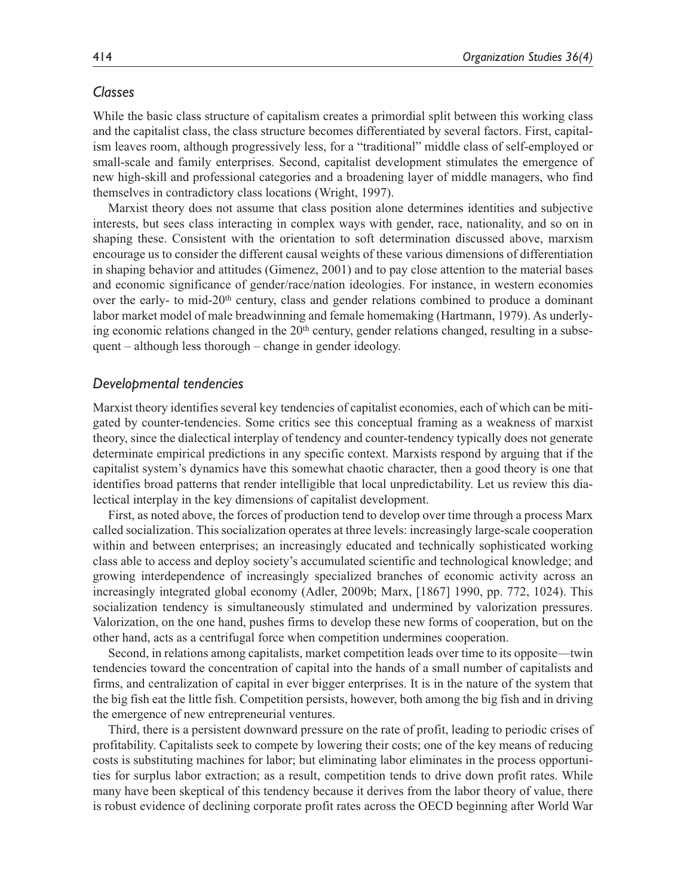## *Classes*

While the basic class structure of capitalism creates a primordial split between this working class and the capitalist class, the class structure becomes differentiated by several factors. First, capitalism leaves room, although progressively less, for a "traditional" middle class of self-employed or small-scale and family enterprises. Second, capitalist development stimulates the emergence of new high-skill and professional categories and a broadening layer of middle managers, who find themselves in contradictory class locations (Wright, 1997).

Marxist theory does not assume that class position alone determines identities and subjective interests, but sees class interacting in complex ways with gender, race, nationality, and so on in shaping these. Consistent with the orientation to soft determination discussed above, marxism encourage us to consider the different causal weights of these various dimensions of differentiation in shaping behavior and attitudes (Gimenez, 2001) and to pay close attention to the material bases and economic significance of gender/race/nation ideologies. For instance, in western economies over the early- to mid-20th century, class and gender relations combined to produce a dominant labor market model of male breadwinning and female homemaking (Hartmann, 1979). As underlying economic relations changed in the  $20<sup>th</sup>$  century, gender relations changed, resulting in a subsequent – although less thorough – change in gender ideology.

#### *Developmental tendencies*

Marxist theory identifies several key tendencies of capitalist economies, each of which can be mitigated by counter-tendencies. Some critics see this conceptual framing as a weakness of marxist theory, since the dialectical interplay of tendency and counter-tendency typically does not generate determinate empirical predictions in any specific context. Marxists respond by arguing that if the capitalist system's dynamics have this somewhat chaotic character, then a good theory is one that identifies broad patterns that render intelligible that local unpredictability. Let us review this dialectical interplay in the key dimensions of capitalist development.

First, as noted above, the forces of production tend to develop over time through a process Marx called socialization. This socialization operates at three levels: increasingly large-scale cooperation within and between enterprises; an increasingly educated and technically sophisticated working class able to access and deploy society's accumulated scientific and technological knowledge; and growing interdependence of increasingly specialized branches of economic activity across an increasingly integrated global economy (Adler, 2009b; Marx, [1867] 1990, pp. 772, 1024). This socialization tendency is simultaneously stimulated and undermined by valorization pressures. Valorization, on the one hand, pushes firms to develop these new forms of cooperation, but on the other hand, acts as a centrifugal force when competition undermines cooperation.

Second, in relations among capitalists, market competition leads over time to its opposite—twin tendencies toward the concentration of capital into the hands of a small number of capitalists and firms, and centralization of capital in ever bigger enterprises. It is in the nature of the system that the big fish eat the little fish. Competition persists, however, both among the big fish and in driving the emergence of new entrepreneurial ventures.

Third, there is a persistent downward pressure on the rate of profit, leading to periodic crises of profitability. Capitalists seek to compete by lowering their costs; one of the key means of reducing costs is substituting machines for labor; but eliminating labor eliminates in the process opportunities for surplus labor extraction; as a result, competition tends to drive down profit rates. While many have been skeptical of this tendency because it derives from the labor theory of value, there is robust evidence of declining corporate profit rates across the OECD beginning after World War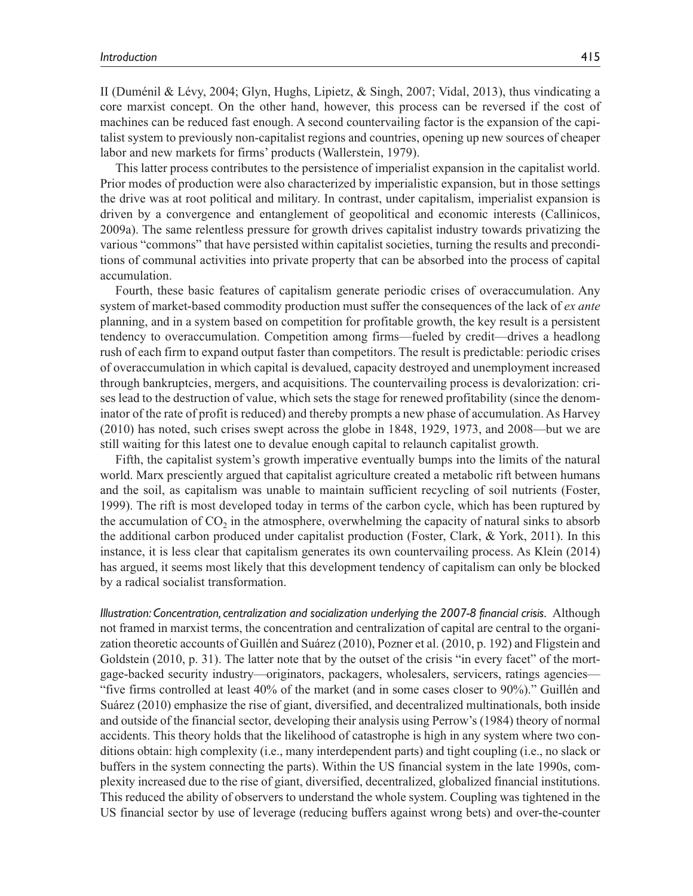II (Duménil & Lévy, 2004; Glyn, Hughs, Lipietz, & Singh, 2007; Vidal, 2013), thus vindicating a core marxist concept. On the other hand, however, this process can be reversed if the cost of machines can be reduced fast enough. A second countervailing factor is the expansion of the capitalist system to previously non-capitalist regions and countries, opening up new sources of cheaper labor and new markets for firms' products (Wallerstein, 1979).

This latter process contributes to the persistence of imperialist expansion in the capitalist world. Prior modes of production were also characterized by imperialistic expansion, but in those settings the drive was at root political and military. In contrast, under capitalism, imperialist expansion is driven by a convergence and entanglement of geopolitical and economic interests (Callinicos, 2009a). The same relentless pressure for growth drives capitalist industry towards privatizing the various "commons" that have persisted within capitalist societies, turning the results and preconditions of communal activities into private property that can be absorbed into the process of capital accumulation.

Fourth, these basic features of capitalism generate periodic crises of overaccumulation. Any system of market-based commodity production must suffer the consequences of the lack of *ex ante* planning, and in a system based on competition for profitable growth, the key result is a persistent tendency to overaccumulation. Competition among firms—fueled by credit—drives a headlong rush of each firm to expand output faster than competitors. The result is predictable: periodic crises of overaccumulation in which capital is devalued, capacity destroyed and unemployment increased through bankruptcies, mergers, and acquisitions. The countervailing process is devalorization: crises lead to the destruction of value, which sets the stage for renewed profitability (since the denominator of the rate of profit is reduced) and thereby prompts a new phase of accumulation. As Harvey (2010) has noted, such crises swept across the globe in 1848, 1929, 1973, and 2008—but we are still waiting for this latest one to devalue enough capital to relaunch capitalist growth.

Fifth, the capitalist system's growth imperative eventually bumps into the limits of the natural world. Marx presciently argued that capitalist agriculture created a metabolic rift between humans and the soil, as capitalism was unable to maintain sufficient recycling of soil nutrients (Foster, 1999). The rift is most developed today in terms of the carbon cycle, which has been ruptured by the accumulation of  $CO<sub>2</sub>$  in the atmosphere, overwhelming the capacity of natural sinks to absorb the additional carbon produced under capitalist production (Foster, Clark, & York, 2011). In this instance, it is less clear that capitalism generates its own countervailing process. As Klein (2014) has argued, it seems most likely that this development tendency of capitalism can only be blocked by a radical socialist transformation.

*Illustration: Concentration, centralization and socialization underlying the 2007-8 financial crisis.* Although not framed in marxist terms, the concentration and centralization of capital are central to the organization theoretic accounts of Guillén and Suárez (2010), Pozner et al. (2010, p. 192) and Fligstein and Goldstein (2010, p. 31). The latter note that by the outset of the crisis "in every facet" of the mortgage-backed security industry—originators, packagers, wholesalers, servicers, ratings agencies— "five firms controlled at least 40% of the market (and in some cases closer to 90%)." Guillén and Suárez (2010) emphasize the rise of giant, diversified, and decentralized multinationals, both inside and outside of the financial sector, developing their analysis using Perrow's (1984) theory of normal accidents. This theory holds that the likelihood of catastrophe is high in any system where two conditions obtain: high complexity (i.e., many interdependent parts) and tight coupling (i.e., no slack or buffers in the system connecting the parts). Within the US financial system in the late 1990s, complexity increased due to the rise of giant, diversified, decentralized, globalized financial institutions. This reduced the ability of observers to understand the whole system. Coupling was tightened in the US financial sector by use of leverage (reducing buffers against wrong bets) and over-the-counter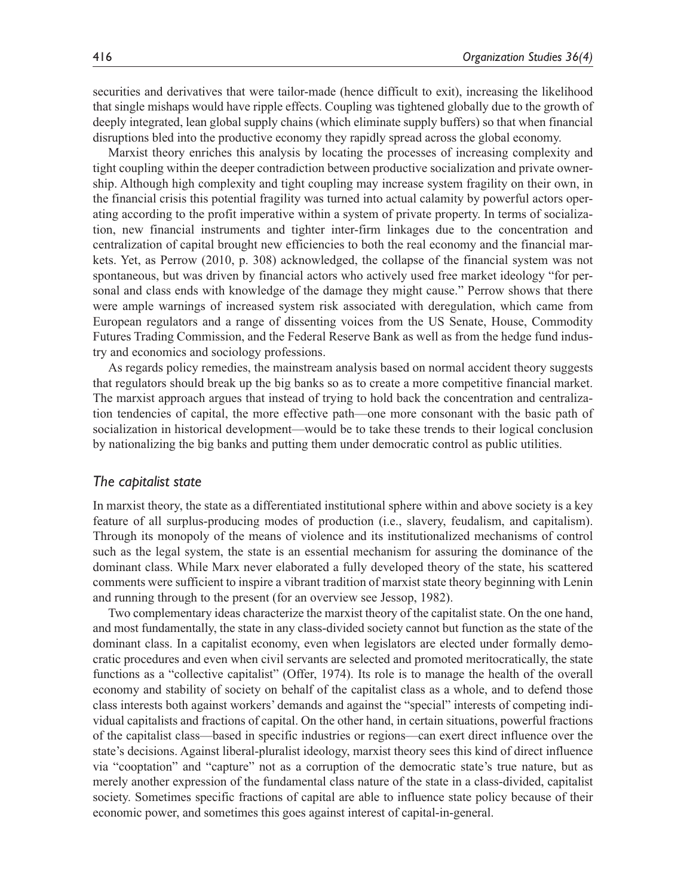securities and derivatives that were tailor-made (hence difficult to exit), increasing the likelihood that single mishaps would have ripple effects. Coupling was tightened globally due to the growth of deeply integrated, lean global supply chains (which eliminate supply buffers) so that when financial disruptions bled into the productive economy they rapidly spread across the global economy.

Marxist theory enriches this analysis by locating the processes of increasing complexity and tight coupling within the deeper contradiction between productive socialization and private ownership. Although high complexity and tight coupling may increase system fragility on their own, in the financial crisis this potential fragility was turned into actual calamity by powerful actors operating according to the profit imperative within a system of private property. In terms of socialization, new financial instruments and tighter inter-firm linkages due to the concentration and centralization of capital brought new efficiencies to both the real economy and the financial markets. Yet, as Perrow (2010, p. 308) acknowledged, the collapse of the financial system was not spontaneous, but was driven by financial actors who actively used free market ideology "for personal and class ends with knowledge of the damage they might cause." Perrow shows that there were ample warnings of increased system risk associated with deregulation, which came from European regulators and a range of dissenting voices from the US Senate, House, Commodity Futures Trading Commission, and the Federal Reserve Bank as well as from the hedge fund industry and economics and sociology professions.

As regards policy remedies, the mainstream analysis based on normal accident theory suggests that regulators should break up the big banks so as to create a more competitive financial market. The marxist approach argues that instead of trying to hold back the concentration and centralization tendencies of capital, the more effective path—one more consonant with the basic path of socialization in historical development—would be to take these trends to their logical conclusion by nationalizing the big banks and putting them under democratic control as public utilities.

#### *The capitalist state*

In marxist theory, the state as a differentiated institutional sphere within and above society is a key feature of all surplus-producing modes of production (i.e., slavery, feudalism, and capitalism). Through its monopoly of the means of violence and its institutionalized mechanisms of control such as the legal system, the state is an essential mechanism for assuring the dominance of the dominant class. While Marx never elaborated a fully developed theory of the state, his scattered comments were sufficient to inspire a vibrant tradition of marxist state theory beginning with Lenin and running through to the present (for an overview see Jessop, 1982).

Two complementary ideas characterize the marxist theory of the capitalist state. On the one hand, and most fundamentally, the state in any class-divided society cannot but function as the state of the dominant class. In a capitalist economy, even when legislators are elected under formally democratic procedures and even when civil servants are selected and promoted meritocratically, the state functions as a "collective capitalist" (Offer, 1974). Its role is to manage the health of the overall economy and stability of society on behalf of the capitalist class as a whole, and to defend those class interests both against workers' demands and against the "special" interests of competing individual capitalists and fractions of capital. On the other hand, in certain situations, powerful fractions of the capitalist class—based in specific industries or regions—can exert direct influence over the state's decisions. Against liberal-pluralist ideology, marxist theory sees this kind of direct influence via "cooptation" and "capture" not as a corruption of the democratic state's true nature, but as merely another expression of the fundamental class nature of the state in a class-divided, capitalist society. Sometimes specific fractions of capital are able to influence state policy because of their economic power, and sometimes this goes against interest of capital-in-general.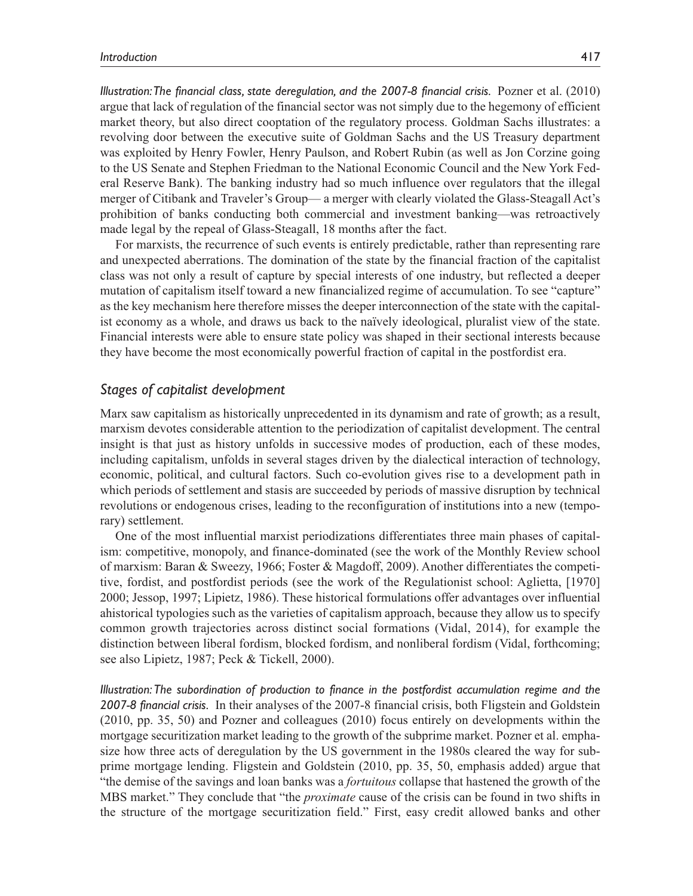*Illustration: The financial class, state deregulation, and the 2007-8 financial crisis.* Pozner et al. (2010) argue that lack of regulation of the financial sector was not simply due to the hegemony of efficient market theory, but also direct cooptation of the regulatory process. Goldman Sachs illustrates: a revolving door between the executive suite of Goldman Sachs and the US Treasury department was exploited by Henry Fowler, Henry Paulson, and Robert Rubin (as well as Jon Corzine going to the US Senate and Stephen Friedman to the National Economic Council and the New York Federal Reserve Bank). The banking industry had so much influence over regulators that the illegal merger of Citibank and Traveler's Group— a merger with clearly violated the Glass-Steagall Act's prohibition of banks conducting both commercial and investment banking—was retroactively made legal by the repeal of Glass-Steagall, 18 months after the fact.

For marxists, the recurrence of such events is entirely predictable, rather than representing rare and unexpected aberrations. The domination of the state by the financial fraction of the capitalist class was not only a result of capture by special interests of one industry, but reflected a deeper mutation of capitalism itself toward a new financialized regime of accumulation. To see "capture" as the key mechanism here therefore misses the deeper interconnection of the state with the capitalist economy as a whole, and draws us back to the naïvely ideological, pluralist view of the state. Financial interests were able to ensure state policy was shaped in their sectional interests because they have become the most economically powerful fraction of capital in the postfordist era.

## *Stages of capitalist development*

Marx saw capitalism as historically unprecedented in its dynamism and rate of growth; as a result, marxism devotes considerable attention to the periodization of capitalist development. The central insight is that just as history unfolds in successive modes of production, each of these modes, including capitalism, unfolds in several stages driven by the dialectical interaction of technology, economic, political, and cultural factors. Such co-evolution gives rise to a development path in which periods of settlement and stasis are succeeded by periods of massive disruption by technical revolutions or endogenous crises, leading to the reconfiguration of institutions into a new (temporary) settlement.

One of the most influential marxist periodizations differentiates three main phases of capitalism: competitive, monopoly, and finance-dominated (see the work of the Monthly Review school of marxism: Baran & Sweezy, 1966; Foster & Magdoff, 2009). Another differentiates the competitive, fordist, and postfordist periods (see the work of the Regulationist school: Aglietta, [1970] 2000; Jessop, 1997; Lipietz, 1986). These historical formulations offer advantages over influential ahistorical typologies such as the varieties of capitalism approach, because they allow us to specify common growth trajectories across distinct social formations (Vidal, 2014), for example the distinction between liberal fordism, blocked fordism, and nonliberal fordism (Vidal, forthcoming; see also Lipietz, 1987; Peck & Tickell, 2000).

*Illustration: The subordination of production to finance in the postfordist accumulation regime and the 2007-8 financial crisis.* In their analyses of the 2007-8 financial crisis, both Fligstein and Goldstein (2010, pp. 35, 50) and Pozner and colleagues (2010) focus entirely on developments within the mortgage securitization market leading to the growth of the subprime market. Pozner et al. emphasize how three acts of deregulation by the US government in the 1980s cleared the way for subprime mortgage lending. Fligstein and Goldstein (2010, pp. 35, 50, emphasis added) argue that "the demise of the savings and loan banks was a *fortuitous* collapse that hastened the growth of the MBS market." They conclude that "the *proximate* cause of the crisis can be found in two shifts in the structure of the mortgage securitization field." First, easy credit allowed banks and other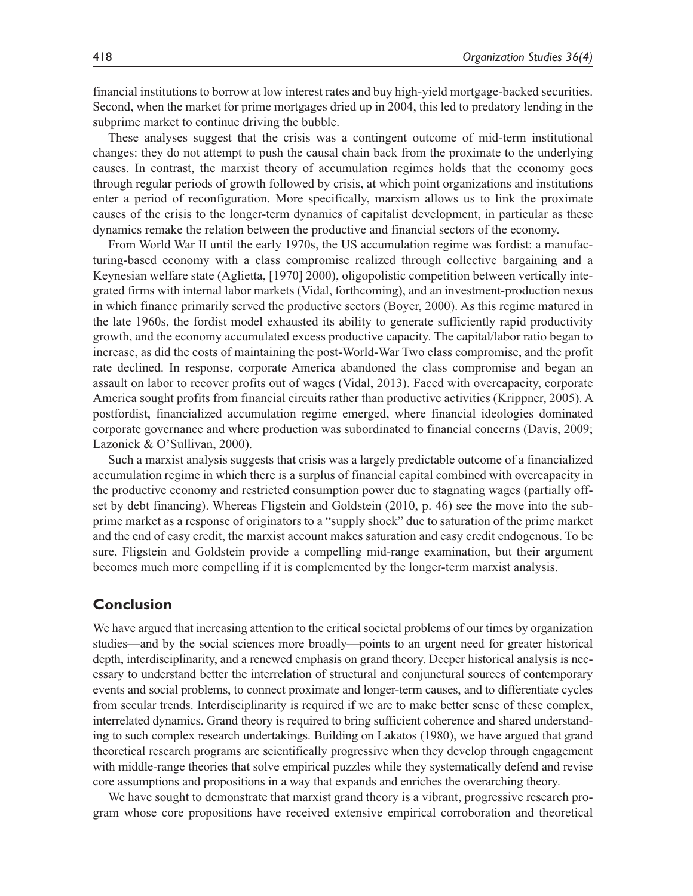financial institutions to borrow at low interest rates and buy high-yield mortgage-backed securities. Second, when the market for prime mortgages dried up in 2004, this led to predatory lending in the subprime market to continue driving the bubble.

These analyses suggest that the crisis was a contingent outcome of mid-term institutional changes: they do not attempt to push the causal chain back from the proximate to the underlying causes. In contrast, the marxist theory of accumulation regimes holds that the economy goes through regular periods of growth followed by crisis, at which point organizations and institutions enter a period of reconfiguration. More specifically, marxism allows us to link the proximate causes of the crisis to the longer-term dynamics of capitalist development, in particular as these dynamics remake the relation between the productive and financial sectors of the economy.

From World War II until the early 1970s, the US accumulation regime was fordist: a manufacturing-based economy with a class compromise realized through collective bargaining and a Keynesian welfare state (Aglietta, [1970] 2000), oligopolistic competition between vertically integrated firms with internal labor markets (Vidal, forthcoming), and an investment-production nexus in which finance primarily served the productive sectors (Boyer, 2000). As this regime matured in the late 1960s, the fordist model exhausted its ability to generate sufficiently rapid productivity growth, and the economy accumulated excess productive capacity. The capital/labor ratio began to increase, as did the costs of maintaining the post-World-War Two class compromise, and the profit rate declined. In response, corporate America abandoned the class compromise and began an assault on labor to recover profits out of wages (Vidal, 2013). Faced with overcapacity, corporate America sought profits from financial circuits rather than productive activities (Krippner, 2005). A postfordist, financialized accumulation regime emerged, where financial ideologies dominated corporate governance and where production was subordinated to financial concerns (Davis, 2009; Lazonick & O'Sullivan, 2000).

Such a marxist analysis suggests that crisis was a largely predictable outcome of a financialized accumulation regime in which there is a surplus of financial capital combined with overcapacity in the productive economy and restricted consumption power due to stagnating wages (partially offset by debt financing). Whereas Fligstein and Goldstein (2010, p. 46) see the move into the subprime market as a response of originators to a "supply shock" due to saturation of the prime market and the end of easy credit, the marxist account makes saturation and easy credit endogenous. To be sure, Fligstein and Goldstein provide a compelling mid-range examination, but their argument becomes much more compelling if it is complemented by the longer-term marxist analysis.

## **Conclusion**

We have argued that increasing attention to the critical societal problems of our times by organization studies—and by the social sciences more broadly—points to an urgent need for greater historical depth, interdisciplinarity, and a renewed emphasis on grand theory. Deeper historical analysis is necessary to understand better the interrelation of structural and conjunctural sources of contemporary events and social problems, to connect proximate and longer-term causes, and to differentiate cycles from secular trends. Interdisciplinarity is required if we are to make better sense of these complex, interrelated dynamics. Grand theory is required to bring sufficient coherence and shared understanding to such complex research undertakings. Building on Lakatos (1980), we have argued that grand theoretical research programs are scientifically progressive when they develop through engagement with middle-range theories that solve empirical puzzles while they systematically defend and revise core assumptions and propositions in a way that expands and enriches the overarching theory.

We have sought to demonstrate that marxist grand theory is a vibrant, progressive research program whose core propositions have received extensive empirical corroboration and theoretical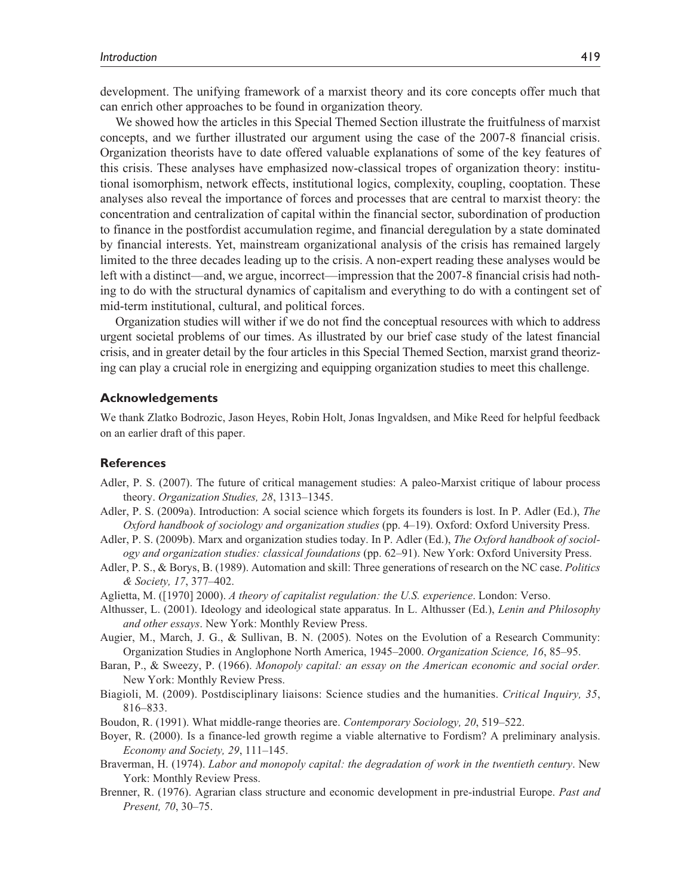We showed how the articles in this Special Themed Section illustrate the fruitfulness of marxist concepts, and we further illustrated our argument using the case of the 2007-8 financial crisis. Organization theorists have to date offered valuable explanations of some of the key features of this crisis. These analyses have emphasized now-classical tropes of organization theory: institutional isomorphism, network effects, institutional logics, complexity, coupling, cooptation. These analyses also reveal the importance of forces and processes that are central to marxist theory: the concentration and centralization of capital within the financial sector, subordination of production to finance in the postfordist accumulation regime, and financial deregulation by a state dominated by financial interests. Yet, mainstream organizational analysis of the crisis has remained largely limited to the three decades leading up to the crisis. A non-expert reading these analyses would be left with a distinct—and, we argue, incorrect—impression that the 2007-8 financial crisis had nothing to do with the structural dynamics of capitalism and everything to do with a contingent set of mid-term institutional, cultural, and political forces.

Organization studies will wither if we do not find the conceptual resources with which to address urgent societal problems of our times. As illustrated by our brief case study of the latest financial crisis, and in greater detail by the four articles in this Special Themed Section, marxist grand theorizing can play a crucial role in energizing and equipping organization studies to meet this challenge.

#### **Acknowledgements**

We thank Zlatko Bodrozic, Jason Heyes, Robin Holt, Jonas Ingvaldsen, and Mike Reed for helpful feedback on an earlier draft of this paper.

#### **References**

- Adler, P. S. (2007). The future of critical management studies: A paleo-Marxist critique of labour process theory. *Organization Studies, 28*, 1313–1345.
- Adler, P. S. (2009a). Introduction: A social science which forgets its founders is lost. In P. Adler (Ed.), *The Oxford handbook of sociology and organization studies* (pp. 4–19). Oxford: Oxford University Press.
- Adler, P. S. (2009b). Marx and organization studies today. In P. Adler (Ed.), *The Oxford handbook of sociology and organization studies: classical foundations* (pp. 62–91). New York: Oxford University Press.
- Adler, P. S., & Borys, B. (1989). Automation and skill: Three generations of research on the NC case. *Politics & Society, 17*, 377–402.
- Aglietta, M. ([1970] 2000). *A theory of capitalist regulation: the U.S. experience*. London: Verso.
- Althusser, L. (2001). Ideology and ideological state apparatus. In L. Althusser (Ed.), *Lenin and Philosophy and other essays*. New York: Monthly Review Press.
- Augier, M., March, J. G., & Sullivan, B. N. (2005). Notes on the Evolution of a Research Community: Organization Studies in Anglophone North America, 1945–2000. *Organization Science, 16*, 85–95.
- Baran, P., & Sweezy, P. (1966). *Monopoly capital: an essay on the American economic and social order.* New York: Monthly Review Press.
- Biagioli, M. (2009). Postdisciplinary liaisons: Science studies and the humanities. *Critical Inquiry, 35*, 816–833.
- Boudon, R. (1991). What middle-range theories are. *Contemporary Sociology, 20*, 519–522.
- Boyer, R. (2000). Is a finance-led growth regime a viable alternative to Fordism? A preliminary analysis. *Economy and Society, 29*, 111–145.
- Braverman, H. (1974). *Labor and monopoly capital: the degradation of work in the twentieth century*. New York: Monthly Review Press.
- Brenner, R. (1976). Agrarian class structure and economic development in pre-industrial Europe. *Past and Present, 70*, 30–75.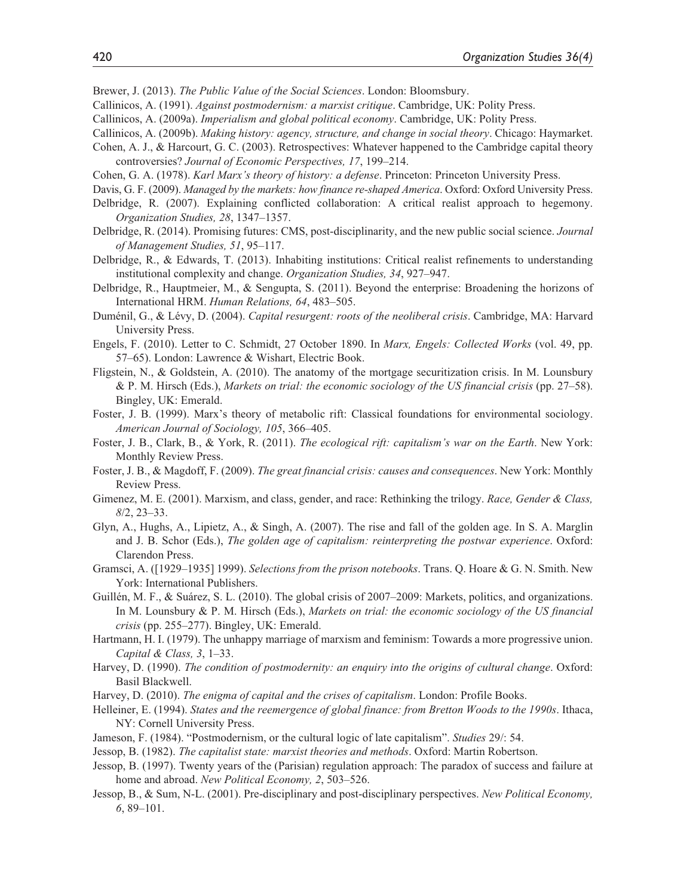Brewer, J. (2013). *The Public Value of the Social Sciences*. London: Bloomsbury.

- Callinicos, A. (1991). *Against postmodernism: a marxist critique*. Cambridge, UK: Polity Press.
- Callinicos, A. (2009a). *Imperialism and global political economy*. Cambridge, UK: Polity Press.
- Callinicos, A. (2009b). *Making history: agency, structure, and change in social theory*. Chicago: Haymarket.
- Cohen, A. J., & Harcourt, G. C. (2003). Retrospectives: Whatever happened to the Cambridge capital theory controversies? *Journal of Economic Perspectives, 17*, 199–214.
- Cohen, G. A. (1978). *Karl Marx's theory of history: a defense*. Princeton: Princeton University Press.
- Davis, G. F. (2009). *Managed by the markets: how finance re-shaped America*. Oxford: Oxford University Press.
- Delbridge, R. (2007). Explaining conflicted collaboration: A critical realist approach to hegemony. *Organization Studies, 28*, 1347–1357.
- Delbridge, R. (2014). Promising futures: CMS, post-disciplinarity, and the new public social science. *Journal of Management Studies, 51*, 95–117.
- Delbridge, R., & Edwards, T. (2013). Inhabiting institutions: Critical realist refinements to understanding institutional complexity and change. *Organization Studies, 34*, 927–947.
- Delbridge, R., Hauptmeier, M., & Sengupta, S. (2011). Beyond the enterprise: Broadening the horizons of International HRM. *Human Relations, 64*, 483–505.
- Duménil, G., & Lévy, D. (2004). *Capital resurgent: roots of the neoliberal crisis*. Cambridge, MA: Harvard University Press.
- Engels, F. (2010). Letter to C. Schmidt, 27 October 1890. In *Marx, Engels: Collected Works* (vol. 49, pp. 57–65). London: Lawrence & Wishart, Electric Book.
- Fligstein, N., & Goldstein, A. (2010). The anatomy of the mortgage securitization crisis. In M. Lounsbury & P. M. Hirsch (Eds.), *Markets on trial: the economic sociology of the US financial crisis* (pp. 27–58). Bingley, UK: Emerald.
- Foster, J. B. (1999). Marx's theory of metabolic rift: Classical foundations for environmental sociology. *American Journal of Sociology, 105*, 366–405.
- Foster, J. B., Clark, B., & York, R. (2011). *The ecological rift: capitalism's war on the Earth*. New York: Monthly Review Press.
- Foster, J. B., & Magdoff, F. (2009). *The great financial crisis: causes and consequences*. New York: Monthly Review Press.
- Gimenez, M. E. (2001). Marxism, and class, gender, and race: Rethinking the trilogy. *Race, Gender & Class, 8*/2, 23–33.
- Glyn, A., Hughs, A., Lipietz, A., & Singh, A. (2007). The rise and fall of the golden age. In S. A. Marglin and J. B. Schor (Eds.), *The golden age of capitalism: reinterpreting the postwar experience*. Oxford: Clarendon Press.
- Gramsci, A. ([1929–1935] 1999). *Selections from the prison notebooks*. Trans. Q. Hoare & G. N. Smith. New York: International Publishers.
- Guillén, M. F., & Suárez, S. L. (2010). The global crisis of 2007–2009: Markets, politics, and organizations. In M. Lounsbury & P. M. Hirsch (Eds.), *Markets on trial: the economic sociology of the US financial crisis* (pp. 255–277). Bingley, UK: Emerald.
- Hartmann, H. I. (1979). The unhappy marriage of marxism and feminism: Towards a more progressive union. *Capital & Class, 3*, 1–33.
- Harvey, D. (1990). *The condition of postmodernity: an enquiry into the origins of cultural change*. Oxford: Basil Blackwell.
- Harvey, D. (2010). *The enigma of capital and the crises of capitalism*. London: Profile Books.
- Helleiner, E. (1994). *States and the reemergence of global finance: from Bretton Woods to the 1990s*. Ithaca, NY: Cornell University Press.
- Jameson, F. (1984). "Postmodernism, or the cultural logic of late capitalism". *Studies* 29/: 54.
- Jessop, B. (1982). *The capitalist state: marxist theories and methods*. Oxford: Martin Robertson.
- Jessop, B. (1997). Twenty years of the (Parisian) regulation approach: The paradox of success and failure at home and abroad. *New Political Economy, 2*, 503–526.
- Jessop, B., & Sum, N-L. (2001). Pre-disciplinary and post-disciplinary perspectives. *New Political Economy, 6*, 89–101.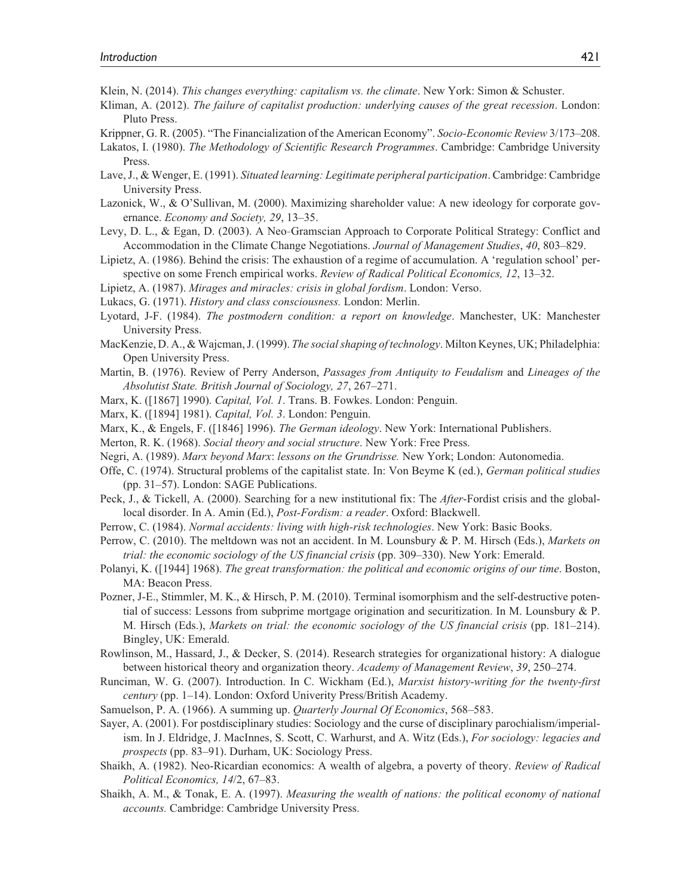- Klein, N. (2014). *This changes everything: capitalism vs. the climate*. New York: Simon & Schuster.
- Kliman, A. (2012). *The failure of capitalist production: underlying causes of the great recession*. London: Pluto Press.
- Krippner, G. R. (2005). "The Financialization of the American Economy". *Socio-Economic Review* 3/173–208.
- Lakatos, I. (1980). *The Methodology of Scientific Research Programmes*. Cambridge: Cambridge University Press.
- Lave, J., & Wenger, E. (1991). *Situated learning: Legitimate peripheral participation*. Cambridge: Cambridge University Press.
- Lazonick, W., & O'Sullivan, M. (2000). Maximizing shareholder value: A new ideology for corporate governance. *Economy and Society, 29*, 13–35.
- Levy, D. L., & Egan, D. (2003). A Neo-Gramscian Approach to Corporate Political Strategy: Conflict and Accommodation in the Climate Change Negotiations. *Journal of Management Studies*, *40*, 803–829.
- Lipietz, A. (1986). Behind the crisis: The exhaustion of a regime of accumulation. A 'regulation school' perspective on some French empirical works. *Review of Radical Political Economics, 12*, 13–32.
- Lipietz, A. (1987). *Mirages and miracles: crisis in global fordism*. London: Verso.
- Lukacs, G. (1971). *History and class consciousness.* London: Merlin.
- Lyotard, J-F. (1984). *The postmodern condition: a report on knowledge*. Manchester, UK: Manchester University Press.
- MacKenzie, D. A., & Wajcman, J. (1999). *The social shaping of technology*. Milton Keynes, UK; Philadelphia: Open University Press.
- Martin, B. (1976). Review of Perry Anderson, *Passages from Antiquity to Feudalism* and *Lineages of the Absolutist State. British Journal of Sociology, 27*, 267–271.
- Marx, K. ([1867] 1990). *Capital, Vol. 1*. Trans. B. Fowkes. London: Penguin.
- Marx, K. ([1894] 1981). *Capital, Vol. 3*. London: Penguin.
- Marx, K., & Engels, F. ([1846] 1996). *The German ideology*. New York: International Publishers.
- Merton, R. K. (1968). *Social theory and social structure*. New York: Free Press.
- Negri, A. (1989). *Marx beyond Marx*: *lessons on the Grundrisse.* New York; London: Autonomedia.
- Offe, C. (1974). Structural problems of the capitalist state. In: Von Beyme K (ed.), *German political studies* (pp. 31–57). London: SAGE Publications.
- Peck, J., & Tickell, A. (2000). Searching for a new institutional fix: The *After*-Fordist crisis and the globallocal disorder. In A. Amin (Ed.), *Post-Fordism: a reader*. Oxford: Blackwell.
- Perrow, C. (1984). *Normal accidents: living with high-risk technologies*. New York: Basic Books.
- Perrow, C. (2010). The meltdown was not an accident. In M. Lounsbury & P. M. Hirsch (Eds.), *Markets on trial: the economic sociology of the US financial crisis* (pp. 309–330). New York: Emerald.
- Polanyi, K. ([1944] 1968). *The great transformation: the political and economic origins of our time*. Boston, MA: Beacon Press.
- Pozner, J-E., Stimmler, M. K., & Hirsch, P. M. (2010). Terminal isomorphism and the self-destructive potential of success: Lessons from subprime mortgage origination and securitization. In M. Lounsbury & P. M. Hirsch (Eds.), *Markets on trial: the economic sociology of the US financial crisis* (pp. 181–214). Bingley, UK: Emerald.
- Rowlinson, M., Hassard, J., & Decker, S. (2014). Research strategies for organizational history: A dialogue between historical theory and organization theory. *Academy of Management Review*, *39*, 250–274.
- Runciman, W. G. (2007). Introduction. In C. Wickham (Ed.), *Marxist history-writing for the twenty-first century* (pp. 1–14). London: Oxford Univerity Press/British Academy.
- Samuelson, P. A. (1966). A summing up. *Quarterly Journal Of Economics*, 568–583.
- Sayer, A. (2001). For postdisciplinary studies: Sociology and the curse of disciplinary parochialism/imperialism. In J. Eldridge, J. MacInnes, S. Scott, C. Warhurst, and A. Witz (Eds.), *For sociology: legacies and prospects* (pp. 83–91). Durham, UK: Sociology Press.
- Shaikh, A. (1982). Neo-Ricardian economics: A wealth of algebra, a poverty of theory. *Review of Radical Political Economics, 14*/2, 67–83.
- Shaikh, A. M., & Tonak, E. A. (1997). *Measuring the wealth of nations: the political economy of national accounts.* Cambridge: Cambridge University Press.